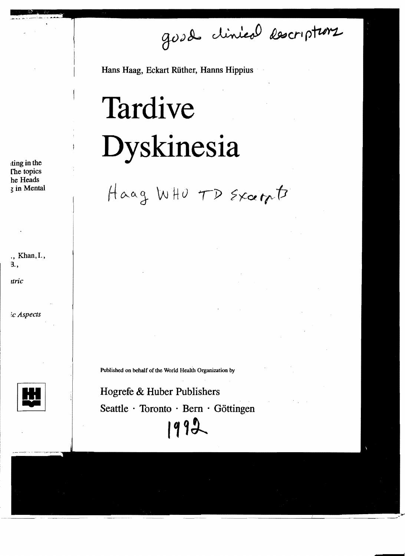good clinical descriptions

Hans Haag, Eckart Rüther, Hanns Hippius

# Tardive Dyskinesia

Haag WHO TD Sxcerpt

Published on behalf of the World Health Organization by

Hogrefe & Huber Publishers Seattle  $\cdot$  Toronto  $\cdot$  Bern  $\cdot$  Göttingen 1992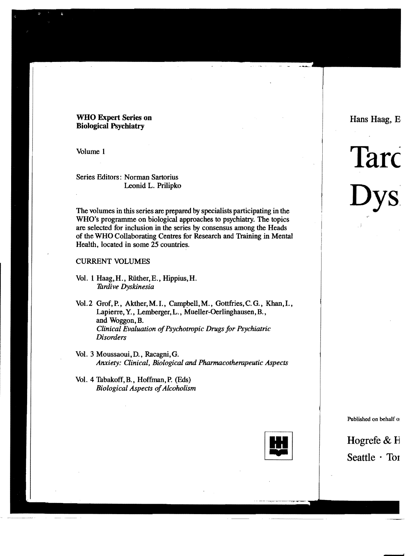# WHO Expert Series on Biological Psychiatry

Volume 1

Series Editors: Norman Sartorius Leonid L. Prilipko

The volumes in this series are prepared by specialists participating in the WHO's programme on biological approaches to psychiatry. The topics are selected for inclusion in the series by consensus among the Heads of the WHO Collaborating Centres for Research and Training in Mental Health, located in some 25 countries.

# CURRENT VOLUMES

- Vol. 1 Haag,H., Ruther, E., Hippius,H. *7ardive Dyskinesia*
- Vol.2 Grof, P., Akther, M.I., Campbell, M., Gottfries, C.G., Khan, I., Lapierre, Y., Lemberger, L., Mueller-Oerlinghausen, B., and Woggon, B. *Clinical Evaluation ofPsychotropic Drugs for Psychiatric Disorders*
- Vol. 3 Moussaoui, D., Racagni, G. *Anxiety: Clinical, Biological and Pharmacotherapeutic Aspects*
- VoL 4 Thbakoff, B., Hoffman, P. (Eds) **Biological Aspects of Alcoholism**

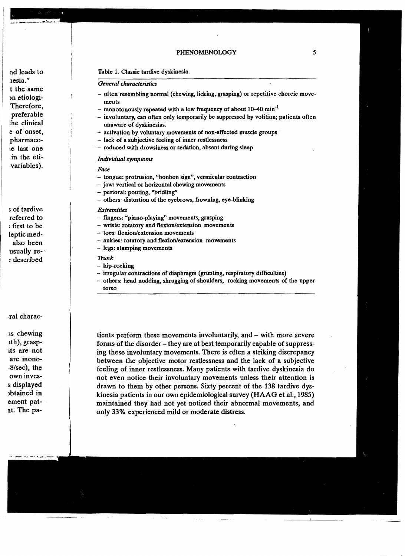#### Table 1. Classic tardive dyskinesia.

## *General characteristics*

- $-$  often resembling normal (chewing, licking, grasping) or repetitive choreic movements
- monotonously repeated with a low frequency of about 10-40 min<sup>-1</sup>
- involuntary, can often only temporarily be suppressed by volition; patients often unaware of dyskinesias.
- activation by voluntary movements of non-affected muscle groups
- lack of a subjective feeling of inner restlessness
- reduced with drowsiness or sedation, absent during sleep

#### *Individual symptoms*

#### *Face*

- tongue: protrusion, "bonbon sign", vermicular contraction
- jaw: vertical or horizontal chewing movements
- perioral: pouting, "bridling"
- others: distortion of the eyebrows, frowning, eye-blinking

## *Extremities*

- fingers: "piano-playing" movements, grasping
- wrists: rotatory and flexion/extension movements
- toes: flexion/extension movements
- ankles: rotatory and flexion/extension movements
- legs: stamping movements

## *Trunk*

- hip-rocking
- irregular contractions of diaphragm (grunting, respiratory difficulties)
- others: head nodding, shrugging of shoulders, rocking movements of the upper torso

tients perform these movements involuntarily, and - with more severe forms of the disorder - they are at best temporarily capable of suppressing these involuntary movements. There is often a striking discrepancy between the objective motor restlessness and the lack of a subjective feeling of inner restlessness. Many patients with tardive dyskinesia do not even notice their involuntary movements unless their attention is drawn to them by other persons. Sixty percent of the 138 tardive dyskinesia patients in our own epidemiological survey (HAAG et a1., 1985) maintained they had not yet noticed their abnormal movements, and only 33% experienced mild or moderate distress.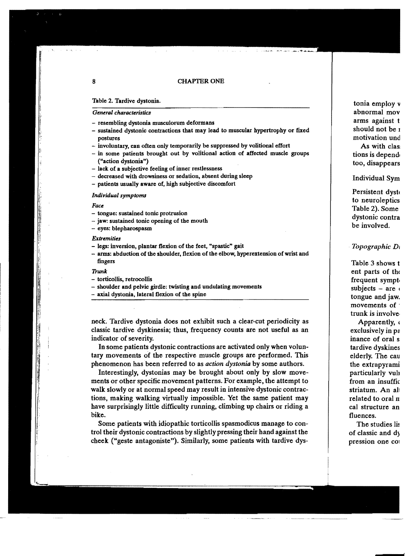#### 8 CHAPTER ONE

#### Table 2. Tardive dystonia.

# General *characteristics*

- resembling dystonia musculorum deformans
- sustained dystonic contractions that may lead to muscular hypertrophy or fixed postures
- involuntary, can often only temporarily be suppressed by volitional effort
- in some patients brought out by volitional action of affected muscle groups ("action dystonia")
- lack of a subjective feeling of inner restlessness
- decreased with drowsiness or sedation, absent during sleep
- patients usually aware of, high subjective discomfort

#### *IndividUllI symptoms*

#### Face

- tongue: sustained tonic protrusion
- jaw: sustained tonic opening of the mouth
- eyes: blepharospasm

#### *Extremities*

- legs: inversion, plantar flexion of the feet, "spastic" gait
- arms: abduction of the shoulder, flexion of the elbow, hyperextension of wrist and fingers

#### Trunk

- torticollis, retrocollis
- shoulder and pelvic girdle: twisting and undulating movements
- axial dystonia, lateral flexion of the spine

neck. Tardive dystonia does not exhibit such a clear-cut periodicity as classic tardive dyskinesia; thus. frequency counts are not useful as an indicator of severity.

In some patients dystonic contractions are activated only when voluntary movements of the respective muscle groups are performed. This phenomenon has been referred to as *action dystonia* by some authors.

Interestingly. dystonias may be brought about only by slow movements or other specific movement patterns. For example. the attempt to walk slowly or at normal speed may result in intensive dystonic contractions, making walking virtually impossible. Yet the same patient may have surprisingly little difficulty running, climbing up chairs or riding a bike.

Some patients with idiopathic torticollis spasmodicus manage to control their dystonic contractions by slightly pressing their hand against the cheek ("geste antagoniste"). Similarly. some patients with tardive dys-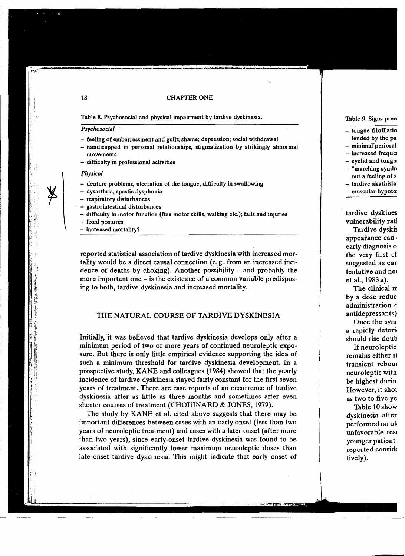#### CHAPTER ONE

Table 8. Psychosocial and physical impairment by tardive dyskinesia.

#### *Psychosocial*

- feeling of embarrassment and guilt; shame; depression; social withdrawal
- handicapped in personal relationships, stigmatization by strikingly abnormal movements
- difficulty in professional activities

#### *Physical*

- denture problems, ulceration of the tongue, difficulty in swallowing
- dysarthria, spastic dysphonia
- respiratory disturbances
- gastrointestinal disturbances
- difficulty in motor function (fine motor skills, walking etc.); falls and injuries
- fixed postures
- increased mortality?

reported statistical association of tardive dyskinesia with increased mortality would be a direct causal connection (e. g. from an increased incidence of deaths by choking). Another possibility - and probably the more important one - is the existence of a common variable predisposing to both, tardive dyskinesia and increased mortality.

# THE NATURAL COURSE OF TARDIVE DYSKINESIA

Initially, it was believed that tardive dyskinesia develops only after a minimum period of two or more years of continued neuroleptic exposure. But there is only little empirical evidence supporting the idea of such a minimum threshold for tardive dyskinesia development. In a prospective study, KANE and colleagues (1984) showed that the yearly incidence of tardive dyskinesia stayed fairly constant for the first seven years of treatment. There are case reports of an occurrence of tardive dyskinesia after as little as three months and sometimes after even shorter courses of treatment (CHOUINARD & JONES, 1979).

The study by KANE et al. cited above suggests that there may be important differences between cases with an early onset (less than two years of neuroleptic treatment) and cases with a later onset (after more than two years), since early-onset tardive dyskinesia was found to be associated with significantly lower maximum neuroleptic doses than late-onset tardive dyskinesia. This might indicate that early onset of